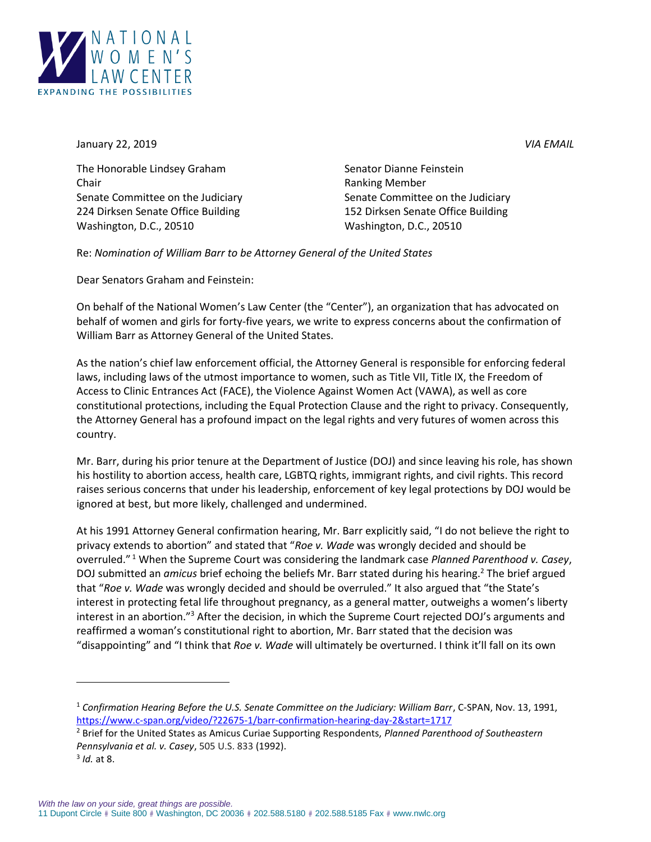

January 22, 2019 *VIA EMAIL*

The Honorable Lindsey Graham Senator Dianne Feinstein Chair Ranking Member Senate Committee on the Judiciary Senate Committee on the Judiciary 224 Dirksen Senate Office Building 152 Dirksen Senate Office Building Washington, D.C., 20510 Washington, D.C., 20510

Re: *Nomination of William Barr to be Attorney General of the United States*

Dear Senators Graham and Feinstein:

On behalf of the National Women's Law Center (the "Center"), an organization that has advocated on behalf of women and girls for forty-five years, we write to express concerns about the confirmation of William Barr as Attorney General of the United States.

As the nation's chief law enforcement official, the Attorney General is responsible for enforcing federal laws, including laws of the utmost importance to women, such as Title VII, Title IX, the Freedom of Access to Clinic Entrances Act (FACE), the Violence Against Women Act (VAWA), as well as core constitutional protections, including the Equal Protection Clause and the right to privacy. Consequently, the Attorney General has a profound impact on the legal rights and very futures of women across this country.

Mr. Barr, during his prior tenure at the Department of Justice (DOJ) and since leaving his role, has shown his hostility to abortion access, health care, LGBTQ rights, immigrant rights, and civil rights. This record raises serious concerns that under his leadership, enforcement of key legal protections by DOJ would be ignored at best, but more likely, challenged and undermined.

At his 1991 Attorney General confirmation hearing, Mr. Barr explicitly said, "I do not believe the right to privacy extends to abortion" and stated that "*Roe v. Wade* was wrongly decided and should be overruled." <sup>1</sup> When the Supreme Court was considering the landmark case *Planned Parenthood v. Casey*, DOJ submitted an *amicus* brief echoing the beliefs Mr. Barr stated during his hearing.<sup>2</sup> The brief argued that "*Roe v. Wade* was wrongly decided and should be overruled." It also argued that "the State's interest in protecting fetal life throughout pregnancy, as a general matter, outweighs a women's liberty interest in an abortion."<sup>3</sup> After the decision, in which the Supreme Court rejected DOJ's arguments and reaffirmed a woman's constitutional right to abortion, Mr. Barr stated that the decision was "disappointing" and "I think that *Roe v. Wade* will ultimately be overturned. I think it'll fall on its own

 $\overline{\phantom{a}}$ 

<sup>1</sup> *Confirmation Hearing Before the U.S. Senate Committee on the Judiciary: William Barr*, C-SPAN, Nov. 13, 1991, <https://www.c-span.org/video/?22675-1/barr-confirmation-hearing-day-2&start=1717>

<sup>2</sup> Brief for the United States as Amicus Curiae Supporting Respondents, *Planned Parenthood of Southeastern Pennsylvania et al. v. Casey*, 505 U.S. 833 (1992).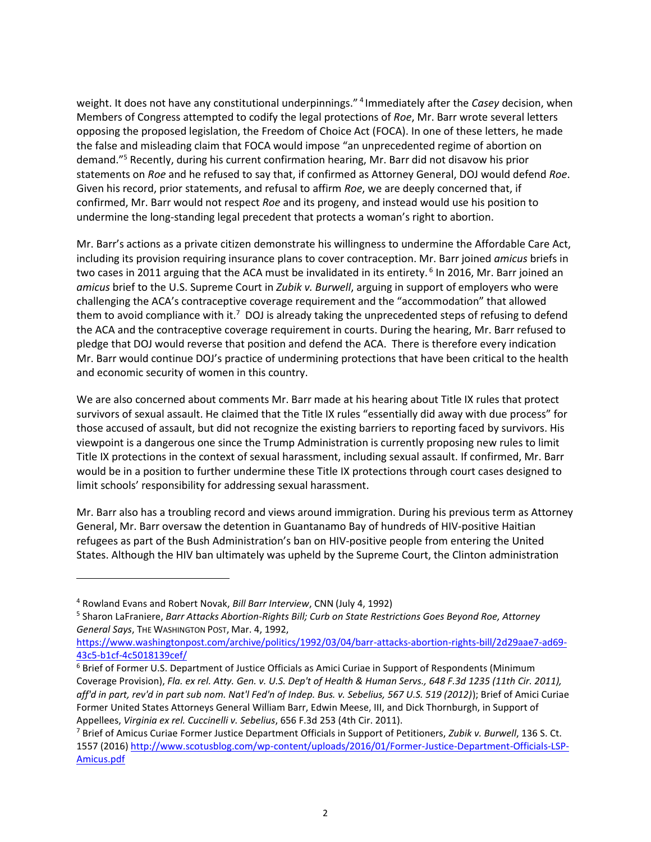weight. It does not have any constitutional underpinnings." <sup>4</sup> Immediately after the *Casey* decision, when Members of Congress attempted to codify the legal protections of *Roe*, Mr. Barr wrote several letters opposing the proposed legislation, the Freedom of Choice Act (FOCA). In one of these letters, he made the false and misleading claim that FOCA would impose "an unprecedented regime of abortion on demand." <sup>5</sup> Recently, during his current confirmation hearing, Mr. Barr did not disavow his prior statements on *Roe* and he refused to say that, if confirmed as Attorney General, DOJ would defend *Roe*. Given his record, prior statements, and refusal to affirm *Roe*, we are deeply concerned that, if confirmed, Mr. Barr would not respect *Roe* and its progeny, and instead would use his position to undermine the long-standing legal precedent that protects a woman's right to abortion.

Mr. Barr's actions as a private citizen demonstrate his willingness to undermine the Affordable Care Act, including its provision requiring insurance plans to cover contraception. Mr. Barr joined *amicus* briefs in two cases in 2011 arguing that the ACA must be invalidated in its entirety. <sup>6</sup> In 2016, Mr. Barr joined an *amicus* brief to the U.S. Supreme Court in *Zubik v. Burwell*, arguing in support of employers who were challenging the ACA's contraceptive coverage requirement and the "accommodation" that allowed them to avoid compliance with it.<sup>7</sup> DOJ is already taking the unprecedented steps of refusing to defend the ACA and the contraceptive coverage requirement in courts. During the hearing, Mr. Barr refused to pledge that DOJ would reverse that position and defend the ACA. There is therefore every indication Mr. Barr would continue DOJ's practice of undermining protections that have been critical to the health and economic security of women in this country.

We are also concerned about comments Mr. Barr made at his hearing about Title IX rules that protect survivors of sexual assault. He claimed that the Title IX rules "essentially did away with due process" for those accused of assault, but did not recognize the existing barriers to reporting faced by survivors. His viewpoint is a dangerous one since the Trump Administration is currently proposing new rules to limit Title IX protections in the context of sexual harassment, including sexual assault. If confirmed, Mr. Barr would be in a position to further undermine these Title IX protections through court cases designed to limit schools' responsibility for addressing sexual harassment.

Mr. Barr also has a troubling record and views around immigration. During his previous term as Attorney General, Mr. Barr oversaw the detention in Guantanamo Bay of hundreds of HIV-positive Haitian refugees as part of the Bush Administration's ban on HIV-positive people from entering the United States. Although the HIV ban ultimately was upheld by the Supreme Court, the Clinton administration

 $\overline{\phantom{a}}$ 

<sup>4</sup> Rowland Evans and Robert Novak, *Bill Barr Interview*, CNN (July 4, 1992)

<sup>5</sup> Sharon LaFraniere, *Barr Attacks Abortion-Rights Bill; Curb on State Restrictions Goes Beyond Roe, Attorney General Says*, THE WASHINGTON POST, Mar. 4, 1992,

[https://www.washingtonpost.com/archive/politics/1992/03/04/barr-attacks-abortion-rights-bill/2d29aae7-ad69-](https://www.washingtonpost.com/archive/politics/1992/03/04/barr-attacks-abortion-rights-bill/2d29aae7-ad69-43c5-b1cf-4c5018139cef/) [43c5-b1cf-4c5018139cef/](https://www.washingtonpost.com/archive/politics/1992/03/04/barr-attacks-abortion-rights-bill/2d29aae7-ad69-43c5-b1cf-4c5018139cef/)

<sup>6</sup> Brief of Former U.S. Department of Justice Officials as Amici Curiae in Support of Respondents (Minimum Coverage Provision), *Fla. ex rel. Atty. Gen. v. U.S. Dep't of Health & Human Servs., 648 F.3d 1235 (11th Cir. 2011), aff'd in part, rev'd in part sub nom. Nat'l Fed'n of Indep. Bus. v. Sebelius, 567 U.S. 519 (2012)*); Brief of Amici Curiae Former United States Attorneys General William Barr, Edwin Meese, III, and Dick Thornburgh, in Support of Appellees, *Virginia ex rel. Cuccinelli v. Sebelius*, 656 F.3d 253 (4th Cir. 2011).

<sup>7</sup> Brief of Amicus Curiae Former Justice Department Officials in Support of Petitioners, *Zubik v. Burwell*, 136 S. Ct. 1557 (2016) [http://www.scotusblog.com/wp-content/uploads/2016/01/Former-Justice-Department-Officials-LSP-](http://www.scotusblog.com/wp-content/uploads/2016/01/Former-Justice-Department-Officials-LSP-Amicus.pdf)[Amicus.pdf](http://www.scotusblog.com/wp-content/uploads/2016/01/Former-Justice-Department-Officials-LSP-Amicus.pdf)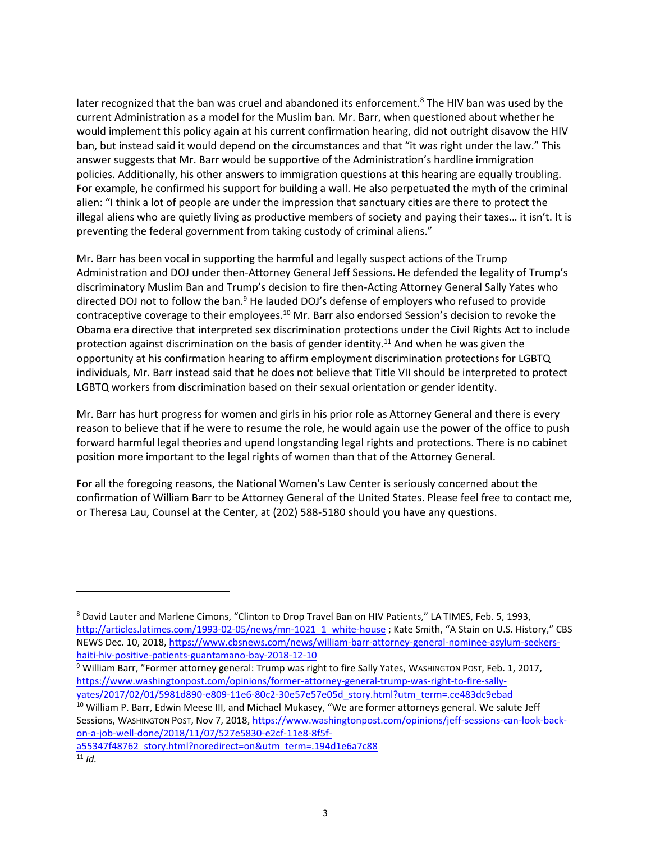later recognized that the ban was cruel and abandoned its enforcement.<sup>8</sup> The HIV ban was used by the current Administration as a model for the Muslim ban. Mr. Barr, when questioned about whether he would implement this policy again at his current confirmation hearing, did not outright disavow the HIV ban, but instead said it would depend on the circumstances and that "it was right under the law." This answer suggests that Mr. Barr would be supportive of the Administration's hardline immigration policies. Additionally, his other answers to immigration questions at this hearing are equally troubling. For example, he confirmed his support for building a wall. He also perpetuated the myth of the criminal alien: "I think a lot of people are under the impression that sanctuary cities are there to protect the illegal aliens who are quietly living as productive members of society and paying their taxes… it isn't. It is preventing the federal government from taking custody of criminal aliens."

Mr. Barr has been vocal in supporting the harmful and legally suspect actions of the Trump Administration and DOJ under then-Attorney General Jeff Sessions.He defended the legality of Trump's discriminatory Muslim Ban and Trump's decision to fire then-Acting Attorney General Sally Yates who directed DOJ not to follow the ban.<sup>9</sup> He lauded DOJ's defense of employers who refused to provide contraceptive coverage to their employees.<sup>10</sup> Mr. Barr also endorsed Session's decision to revoke the Obama era directive that interpreted sex discrimination protections under the Civil Rights Act to include protection against discrimination on the basis of gender identity.<sup>11</sup> And when he was given the opportunity at his confirmation hearing to affirm employment discrimination protections for LGBTQ individuals, Mr. Barr instead said that he does not believe that Title VII should be interpreted to protect LGBTQ workers from discrimination based on their sexual orientation or gender identity.

Mr. Barr has hurt progress for women and girls in his prior role as Attorney General and there is every reason to believe that if he were to resume the role, he would again use the power of the office to push forward harmful legal theories and upend longstanding legal rights and protections. There is no cabinet position more important to the legal rights of women than that of the Attorney General.

For all the foregoing reasons, the National Women's Law Center is seriously concerned about the confirmation of William Barr to be Attorney General of the United States. Please feel free to contact me, or Theresa Lau, Counsel at the Center, at (202) 588-5180 should you have any questions.

<sup>10</sup> William P. Barr, Edwin Meese III, and Michael Mukasey, "We are former attorneys general. We salute Jeff Sessions, WASHINGTON POST, Nov 7, 2018[, https://www.washingtonpost.com/opinions/jeff-sessions-can-look-back](https://www.washingtonpost.com/opinions/jeff-sessions-can-look-back-on-a-job-well-done/2018/11/07/527e5830-e2cf-11e8-8f5f-a55347f48762_story.html?noredirect=on&utm_term=.194d1e6a7c88)[on-a-job-well-done/2018/11/07/527e5830-e2cf-11e8-8f5f](https://www.washingtonpost.com/opinions/jeff-sessions-can-look-back-on-a-job-well-done/2018/11/07/527e5830-e2cf-11e8-8f5f-a55347f48762_story.html?noredirect=on&utm_term=.194d1e6a7c88)[a55347f48762\\_story.html?noredirect=on&utm\\_term=.194d1e6a7c88](https://www.washingtonpost.com/opinions/jeff-sessions-can-look-back-on-a-job-well-done/2018/11/07/527e5830-e2cf-11e8-8f5f-a55347f48762_story.html?noredirect=on&utm_term=.194d1e6a7c88)

 $\overline{\phantom{a}}$ 

<sup>8</sup> David Lauter and Marlene Cimons, "Clinton to Drop Travel Ban on HIV Patients," LA TIMES, Feb. 5, 1993, [http://articles.latimes.com/1993-02-05/news/mn-1021\\_1\\_white-house](http://articles.latimes.com/1993-02-05/news/mn-1021_1_white-house) ; Kate Smith, "A Stain on U.S. History," CBS NEWS Dec. 10, 2018, [https://www.cbsnews.com/news/william-barr-attorney-general-nominee-asylum-seekers](https://www.cbsnews.com/news/william-barr-attorney-general-nominee-asylum-seekers-haiti-hiv-positive-patients-guantamano-bay-2018-12-10)[haiti-hiv-positive-patients-guantamano-bay-2018-12-10](https://www.cbsnews.com/news/william-barr-attorney-general-nominee-asylum-seekers-haiti-hiv-positive-patients-guantamano-bay-2018-12-10)

<sup>9</sup> William Barr, "Former attorney general: Trump was right to fire Sally Yates, WASHINGTON POST, Feb. 1, 2017, [https://www.washingtonpost.com/opinions/former-attorney-general-trump-was-right-to-fire-sally](https://www.washingtonpost.com/opinions/former-attorney-general-trump-was-right-to-fire-sally-yates/2017/02/01/5981d890-e809-11e6-80c2-30e57e57e05d_story.html?utm_term=.ce483dc9ebad)[yates/2017/02/01/5981d890-e809-11e6-80c2-30e57e57e05d\\_story.html?utm\\_term=.ce483dc9ebad](https://www.washingtonpost.com/opinions/former-attorney-general-trump-was-right-to-fire-sally-yates/2017/02/01/5981d890-e809-11e6-80c2-30e57e57e05d_story.html?utm_term=.ce483dc9ebad)

 $11$  *Id.*